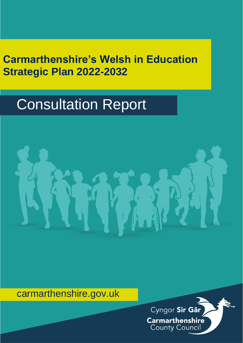# **Carmarthenshire's Welsh in Education Strategic Plan 2022-2032**

# Consultation Report



# carmarthenshire.gov.uk

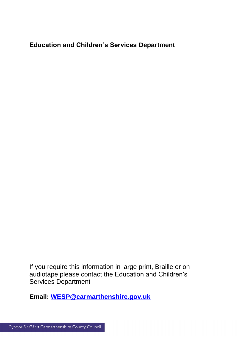**Education and Children's Services Department**

If you require this information in large print, Braille or on audiotape please contact the Education and Children's Services Department

**Email: [WESP@carmarthenshire.gov.uk](mailto:WESP@carmarthenshire.gov.uk)**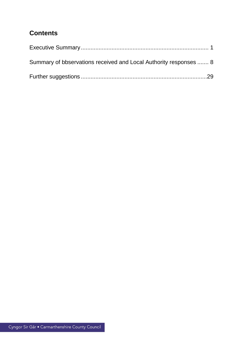## **Contents**

| Summary of bbservations received and Local Authority responses  8 |  |
|-------------------------------------------------------------------|--|
|                                                                   |  |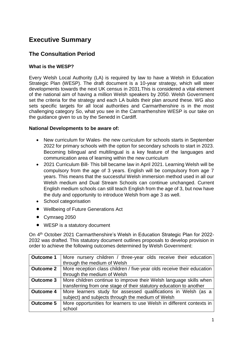### <span id="page-3-0"></span>**Executive Summary**

#### **The Consultation Period**

#### **What is the WESP?**

Every Welsh Local Authority (LA) is required by law to have a Welsh in Education Strategic Plan (WESP). The draft document is a 10-year strategy, which will steer developments towards the next UK census in 2031.This is considered a vital element of the national aim of having a million Welsh speakers by 2050. Welsh Government set the criteria for the strategy and each LA builds their plan around these. WG also sets specific targets for all local authorities and Carmarthenshire is in the most challenging category So, what you see in the Carmarthenshire WESP is our take on the guidance given to us by the Senedd in Cardiff.

#### **National Developments to be aware of:**

- New curriculum for Wales- the new curriculum for schools starts in September 2022 for primary schools with the option for secondary schools to start in 2023. Becoming bilingual and multilingual is a key feature of the languages and communication area of learning within the new curriculum
- 2021 Curriculum Bill- This bill became law in April 2021. Learning Welsh will be compulsory from the age of 3 years. English will be compulsory from age 7 years. This means that the successful Welsh immersion method used in all our Welsh medium and Dual Stream Schools can continue unchanged. Current English medium schools can still teach English from the age of 3, but now have the duty and opportunity to introduce Welsh from age 3 as well.
- School categorisation
- Wellbeing of Future Generations Act
- Cymraeg 2050
- WESP is a statutory document

On 4<sup>th</sup> October 2021 Carmarthenshire's Welsh in Education Strategic Plan for 2022-2032 was drafted. This statutory document outlines proposals to develop provision in order to achieve the following outcomes determined by Welsh Government:

| <b>Outcome 1</b> | More nursery children / three-year olds receive their education        |
|------------------|------------------------------------------------------------------------|
|                  | through the medium of Welsh                                            |
| <b>Outcome 2</b> | More reception class children / five-year olds receive their education |
|                  | through the medium of Welsh                                            |
| <b>Outcome 3</b> | More children continue to improve their Welsh language skills when     |
|                  | transferring from one stage of their statutory education to another    |
| <b>Outcome 4</b> | More learners study for assessed qualifications in Welsh (as a         |
|                  | subject) and subjects through the medium of Welsh                      |
| <b>Outcome 5</b> | More opportunities for learners to use Welsh in different contexts in  |
|                  | school                                                                 |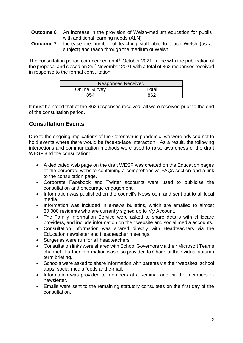| <b>Outcome 6</b>   An increase in the provision of Welsh-medium education for pupils |
|--------------------------------------------------------------------------------------|
| with additional learning needs (ALN)                                                 |
| <b>Outcome 7</b>   Increase the number of teaching staff able to teach Welsh (as a   |
| subject) and teach through the medium of Welsh                                       |

The consultation period commenced on 4<sup>th</sup> October 2021 in line with the publication of the proposal and closed on 29<sup>th</sup> November 2021 with a total of 862 responses received in response to the formal consultation.

|                      | <b>Responses Received</b> |
|----------------------|---------------------------|
| <b>Online Survey</b> | $\tau$ otal               |
| 3 E A                | רמס                       |

It must be noted that of the 862 responses received, all were received prior to the end of the consultation period.

#### **Consultation Events**

Due to the ongoing implications of the Coronavirus pandemic, we were advised not to hold events where there would be face-to-face interaction. As a result, the following interactions and communication methods were used to raise awareness of the draft WESP and the consultation:

- A dedicated web page on the draft WESP was created on the Education pages of the corporate website containing a comprehensive FAQs section and a link to the consultation page.
- Corporate Facebook and Twitter accounts were used to publicise the consultation and encourage engagement.
- Information was published on the council's Newsroom and sent out to all local media.
- Information was included in e-news bulletins, which are emailed to almost 30,000 residents who are currently signed up to My Account.
- The Family Information Service were asked to share details with childcare providers, and include information on their website and social media accounts.
- Consultation information was shared directly with Headteachers via the Education newsletter and Headteacher meetings.
- Surgeries were run for all headteachers.
- Consultation links were shared with School Governors via their Microsoft Teams channel. Further information was also provided to Chairs at their virtual autumn term briefing.
- Schools were asked to share information with parents via their websites, school apps, social media feeds and e-mail.
- Information was provided to members at a seminar and via the members enewsletter.
- Emails were sent to the remaining statutory consultees on the first day of the consultation.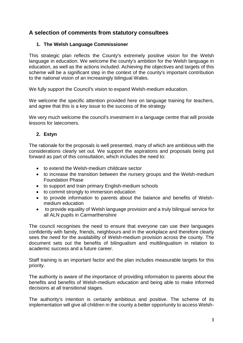#### **A selection of comments from statutory consultees**

#### **1. The Welsh Language Commissioner**

This strategic plan reflects the County's extremely positive vision for the Welsh language in education. We welcome the county's ambition for the Welsh language in education, as well as the actions included. Achieving the objectives and targets of this scheme will be a significant step in the context of the county's important contribution to the national vision of an increasingly bilingual Wales.

We fully support the Council's vision to expand Welsh-medium education.

We welcome the specific attention provided here on language training for teachers, and agree that this is a key issue to the success of the strategy

We very much welcome the council's investment in a language centre that will provide lessons for latecomers.

#### **2. Estyn**

The rationale for the proposals is well presented, many of which are ambitious with the considerations clearly set out. We support the aspirations and proposals being put forward as part of this consultation, which includes the need to:

- to extend the Welsh-medium childcare sector
- to increase the transition between the nursery groups and the Welsh-medium Foundation Phase
- to support and train primary English-medium schools
- to commit strongly to immersion education
- to provide information to parents about the balance and benefits of Welshmedium education
- to provide equality of Welsh language provision and a truly bilingual service for all ALN pupils in Carmarthenshire

The council recognises the need to ensure that everyone can use their languages confidently with family, friends, neighbours and in the workplace and therefore clearly sees the need for the availability of Welsh-medium provision across the county. The document sets out the benefits of bilingualism and multilingualism in relation to academic success and a future career.

Staff training is an important factor and the plan includes measurable targets for this priority.

The authority is aware of the importance of providing information to parents about the benefits and benefits of Welsh-medium education and being able to make informed decisions at all transitional stages.

The authority's intention is certainly ambitious and positive. The scheme of its implementation will give all children in the county a better opportunity to access Welsh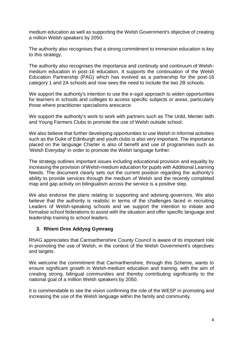medium education as well as supporting the Welsh Government's objective of creating a million Welsh speakers by 2050.

The authority also recognises that a strong commitment to immersion education is key to this strategy.

The authority also recognises the importance and continuity and continuum of Welshmedium education in post-16 education. It supports the continuation of the Welsh Education Partnership (PAG) which has evolved as a partnership for the post-16 category 1 and 2A schools and now sees the need to include the two 2B schools.

We support the authority's intention to use the e-sgol approach to widen opportunities for learners in schools and colleges to access specific subjects or areas, particularly those where practitioner specialisms arescarce.

We support the authority's work to work with partners such as The Urdd, Menter Iaith and Young Farmers Clubs to promote the use of Welsh outside school.

We also believe that further developing opportunities to use Welsh in informal activities such as the Duke of Edinburgh and youth clubs is also very important. The importance placed on the language Charter is also of benefit and use of programmes such as 'Welsh Everyday' in order to promote the Welsh language further.

The strategy outlines important issues including educational provision and equality by increasing the provision of Welsh-medium education for pupils with Additional Learning Needs. The document clearly sets out the current position regarding the authority's ability to provide services through the medium of Welsh and the recently completed map and gap activity on bilingualism across the service is a positive step.

We also endorse the plans relating to supporting and advising governors. We also believe that the authority is realistic in terms of the challenges faced in recruiting Leaders of Welsh-speaking schools and we support the intention to initiate and formalise school federations to assist with the situation and offer specific language and leadership training to school leaders.

#### **3. Rhieni Dros Addysg Gymraeg**

RhAG appreciates that Carmarthenshire County Council is aware of its important role in promoting the use of Welsh, in the context of the Welsh Government's objectives and targets.

We welcome the commitment that Carmarthenshire, through this Scheme, wants to ensure significant growth in Welsh-medium education and training, with the aim of creating strong, bilingual communities and thereby contributing significantly to the national goal of a million Welsh speakers by 2050.

It is commendable to see the vision confirming the role of the WESP in promoting and increasing the use of the Welsh language within the family and community.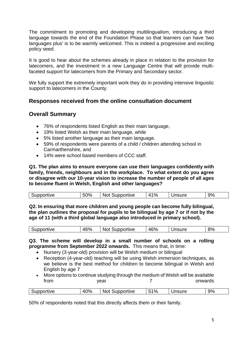The commitment to promoting and developing multilingualism, introducing a third language towards the end of the Foundation Phase so that learners can have 'two languages plus' is to be warmly welcomed. This is indeed a progressive and exciting policy seed.

It is good to hear about the schemes already in place in relation to the provision for latecomers, and the investment in a new Language Centre that will provide multifaceted support for latecomers from the Primary and Secondary sector.

We fully support the extremely important work they do in providing intensive linguistic support to latecomers in the County.

#### **Responses received from the online consultation document**

#### **Overall Summary**

- 76% of respondents listed English as their main language,
- 19% listed Welsh as their main language, while
- 5% listed another language as their main language.
- 59% of respondents were parents of a child / children attending school in Carmarthenshire, and
- 14% were school based members of CCC staff.

**Q1. The plan aims to ensure everyone can use their languages confidently with family, friends, neighbours and in the workplace. To what extent do you agree or disagree with our 10-year vision to increase the number of people of all ages to become fluent in Welsh, English and other languages?**

| Supportive | 50% | Not<br>Supportive | ່ 1% | Unsure | 9% |
|------------|-----|-------------------|------|--------|----|
|------------|-----|-------------------|------|--------|----|

**Q2. In ensuring that more children and young people can become fully bilingual, the plan outlines the proposal for pupils to be bilingual by age 7 or if not by the age of 11 (with a third global language also introduced in primary school).** 

| ------<br>portive | 46%<br>∼ | upportive<br>N. | 46% | .<br>. | 8% |
|-------------------|----------|-----------------|-----|--------|----|

**Q3. The scheme will develop in a small number of schools on a rolling programme from September 2022 onwards.** This means that, in time:

- Nursery (3-year-old) provision will be Welsh medium or bilingual
- Reception (4-year-old) teaching will be using Welsh immersion techniques, as we believe is the best method for children to become bilingual in Welsh and English by age 7
- More options to continue studying through the medium of Welsh will be available from the year that the search onwards

| uve<br>м | 40% | ำrtive<br><br>ועו<br>. . | E40/<br>7٥ | ---- | 9% |
|----------|-----|--------------------------|------------|------|----|
|          |     |                          |            |      |    |

50% of respondents noted that this directly affects them or their family.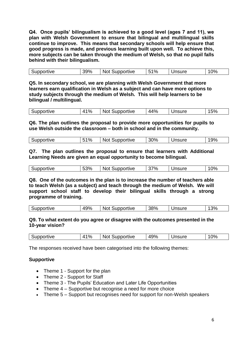**Q4. Once pupils' bilingualism is achieved to a good level (ages 7 and 11), we plan with Welsh Government to ensure that bilingual and multilingual skills continue to improve. This means that secondary schools will help ensure that good progress is made, and previous learning built upon well. To achieve this, more subjects can be taken through the medium of Welsh, so that no pupil falls behind with their bilingualism.** 

| Supportive | 39% | <b>Not Supportive</b> | $1\%$ | Unsure | 0% |
|------------|-----|-----------------------|-------|--------|----|

**Q5. In secondary school, we are planning with Welsh Government that more learners earn qualification in Welsh as a subject and can have more options to study subjects through the medium of Welsh. This will help learners to be bilingual / multilingual.**

| $\%$<br>Supportive<br>$4^{\circ}$ | <b>Not</b><br>Supportive | 44%<br>Unsure | 15% |
|-----------------------------------|--------------------------|---------------|-----|
|-----------------------------------|--------------------------|---------------|-----|

**Q6. The plan outlines the proposal to provide more opportunities for pupils to use Welsh outside the classroom – both in school and in the community.**

| Supportive | 51% | <b>Not Supportive</b> | 30% | Unsure | 19% |
|------------|-----|-----------------------|-----|--------|-----|
|            |     |                       |     |        |     |

**Q7. The plan outlines the proposal to ensure that learners with Additional Learning Needs are given an equal opportunity to become bilingual.**

| 53%<br>37%<br>0%<br>Supportive<br>Jnsure<br>Supportive<br><b>Not</b> |
|----------------------------------------------------------------------|
|----------------------------------------------------------------------|

**Q8. One of the outcomes in the plan is to increase the number of teachers able to teach Welsh (as a subject) and teach through the medium of Welsh. We will support school staff to develop their bilingual skills through a strong programme of training.**

| . پ | Supportive | 49% | <b>Not</b><br>Supportive | 38% | Jnsure | $3\%$ |
|-----|------------|-----|--------------------------|-----|--------|-------|
|-----|------------|-----|--------------------------|-----|--------|-------|

#### **Q9. To what extent do you agree or disagree with the outcomes presented in the 10-year vision?**

| Supportive | 41% | Not Supportive | 49% | 'nsure | $0\%$ |
|------------|-----|----------------|-----|--------|-------|
|            |     |                |     |        |       |

The responses received have been categorised into the following themes:

#### **Supportive**

- Theme 1 Support for the plan
- Theme 2 Support for Staff
- Theme 3 The Pupils' Education and Later Life Opportunities
- Theme 4 Supportive but recognise a need for more choice
- Theme 5 Support but recognises need for support for non-Welsh speakers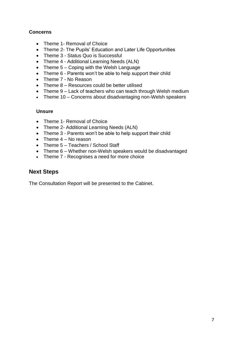#### **Concerns**

- Theme 1- Removal of Choice
- Theme 2- The Pupils' Education and Later Life Opportunities
- Theme 3 Status Quo is Successful
- Theme 4 Additional Learning Needs (ALN)
- Theme 5 Coping with the Welsh Language
- Theme 6 Parents won't be able to help support their child
- Theme 7 No Reason
- Theme 8 Resources could be better utilised
- Theme 9 Lack of teachers who can teach through Welsh medium
- Theme 10 Concerns about disadvantaging non-Welsh speakers

#### **Unsure**

- Theme 1- Removal of Choice
- Theme 2- Additional Learning Needs (ALN)
- Theme 3 Parents won't be able to help support their child
- $\bullet$  Theme  $4 No$  reason
- Theme 5 Teachers / School Staff
- Theme 6 Whether non-Welsh speakers would be disadvantaged
- Theme 7 Recognises a need for more choice

#### **Next Steps**

The Consultation Report will be presented to the Cabinet.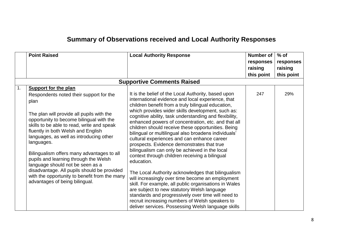# **Summary of Observations received and Local Authority Responses**

<span id="page-10-0"></span>

|                | <b>Point Raised</b>                                                                                                                                                                                                                                                                                                                                                                                                                                                                                                                                                               | <b>Local Authority Response</b>                                                                                                                                                                                                                                                                                                                                                                                                                                                                                                                                                                                                                                                                                                                                                                                                                                                                                                                                                                                                                    | <b>Number of</b><br>responses<br>raising<br>this point | $%$ of<br>responses<br>raising<br>this point |
|----------------|-----------------------------------------------------------------------------------------------------------------------------------------------------------------------------------------------------------------------------------------------------------------------------------------------------------------------------------------------------------------------------------------------------------------------------------------------------------------------------------------------------------------------------------------------------------------------------------|----------------------------------------------------------------------------------------------------------------------------------------------------------------------------------------------------------------------------------------------------------------------------------------------------------------------------------------------------------------------------------------------------------------------------------------------------------------------------------------------------------------------------------------------------------------------------------------------------------------------------------------------------------------------------------------------------------------------------------------------------------------------------------------------------------------------------------------------------------------------------------------------------------------------------------------------------------------------------------------------------------------------------------------------------|--------------------------------------------------------|----------------------------------------------|
|                |                                                                                                                                                                                                                                                                                                                                                                                                                                                                                                                                                                                   | <b>Supportive Comments Raised</b>                                                                                                                                                                                                                                                                                                                                                                                                                                                                                                                                                                                                                                                                                                                                                                                                                                                                                                                                                                                                                  |                                                        |                                              |
| $\mathbf{1}$ . | <b>Support for the plan</b><br>Respondents noted their support for the<br>plan<br>The plan will provide all pupils with the<br>opportunity to become bilingual with the<br>skills to be able to read, write and speak<br>fluently in both Welsh and English<br>languages, as well as introducing other<br>languages.<br>Bilingualism offers many advantages to all<br>pupils and learning through the Welsh<br>language should not be seen as a<br>disadvantage. All pupils should be provided<br>with the opportunity to benefit from the many<br>advantages of being bilingual. | It is the belief of the Local Authority, based upon<br>international evidence and local experience, that<br>children benefit from a truly bilingual education,<br>which provides wider skills development, such as:<br>cognitive ability, task understanding and flexibility,<br>enhanced powers of concentration, etc. and that all<br>children should receive these opportunities. Being<br>bilingual or multilingual also broadens individuals'<br>cultural experiences and can enhance career<br>prospects. Evidence demonstrates that true<br>bilingualism can only be achieved in the local<br>context through children receiving a bilingual<br>education.<br>The Local Authority acknowledges that bilingualism<br>will increasingly over time become an employment<br>skill. For example, all public organisations in Wales<br>are subject to new statutory Welsh language<br>standards and progressively over time will need to<br>recruit increasing numbers of Welsh speakers to<br>deliver services. Possessing Welsh language skills | 247                                                    | 29%                                          |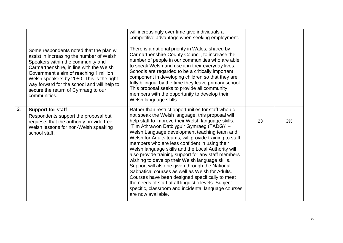|                  | Some respondents noted that the plan will<br>assist in increasing the number of Welsh<br>Speakers within the community and<br>Carmarthenshire, in line with the Welsh<br>Government's aim of reaching 1 million<br>Welsh speakers by 2050. This is the right<br>way forward for the school and will help to<br>secure the return of Cymraeg to our<br>communities. | will increasingly over time give individuals a<br>competitive advantage when seeking employment.<br>There is a national priority in Wales, shared by<br>Carmarthenshire County Council, to increase the<br>number of people in our communities who are able<br>to speak Welsh and use it in their everyday lives.<br>Schools are regarded to be a critically important<br>component in developing children so that they are<br>fully bilingual by the time they leave primary school.<br>This proposal seeks to provide all community<br>members with the opportunity to develop their<br>Welsh language skills.                                                                                                                                                                                                                     |    |    |
|------------------|--------------------------------------------------------------------------------------------------------------------------------------------------------------------------------------------------------------------------------------------------------------------------------------------------------------------------------------------------------------------|--------------------------------------------------------------------------------------------------------------------------------------------------------------------------------------------------------------------------------------------------------------------------------------------------------------------------------------------------------------------------------------------------------------------------------------------------------------------------------------------------------------------------------------------------------------------------------------------------------------------------------------------------------------------------------------------------------------------------------------------------------------------------------------------------------------------------------------|----|----|
| $\overline{2}$ . | <b>Support for staff</b><br>Respondents support the proposal but<br>requests that the authority provide free<br>Welsh lessons for non-Welsh speaking<br>school staff.                                                                                                                                                                                              | Rather than restrict opportunities for staff who do<br>not speak the Welsh language, this proposal will<br>help staff to improve their Welsh language skills.<br>"Tîm Athrawon Datblygu'r Gymraeg (TADG)" -<br>Welsh Language development teaching team and<br>Welsh for Adults teams, will provide training to staff<br>members who are less confident in using their<br>Welsh language skills and the Local Authority will<br>also provide training support for any staff members<br>wishing to develop their Welsh language skills.<br>Support will also be given through the National<br>Sabbatical courses as well as Welsh for Adults.<br>Courses have been designed specifically to meet<br>the needs of staff at all linguistic levels. Subject<br>specific, classroom and incidental language courses<br>are now available. | 23 | 3% |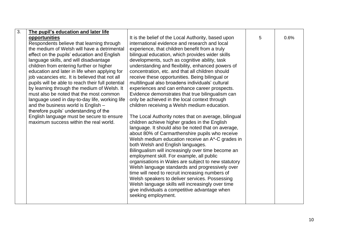| $\overline{3}$ . | The pupil's education and later life              |                                                      |   |      |
|------------------|---------------------------------------------------|------------------------------------------------------|---|------|
|                  | opportunities                                     | It is the belief of the Local Authority, based upon  | 5 | 0.6% |
|                  | Respondents believe that learning through         | international evidence and research and local        |   |      |
|                  | the medium of Welsh will have a detrimental       | experience, that children benefit from a truly       |   |      |
|                  | effect on the pupils' education and English       | bilingual education, which provides wider skills     |   |      |
|                  | language skills, and will disadvantage            | developments, such as cognitive ability, task        |   |      |
|                  | children from entering further or higher          | understanding and flexibility, enhanced powers of    |   |      |
|                  | education and later in life when applying for     | concentration, etc. and that all children should     |   |      |
|                  | job vacancies etc. It is believed that not all    | receive these opportunities. Being bilingual or      |   |      |
|                  | pupils will be able to reach their full potential | multilingual also broadens individuals' cultural     |   |      |
|                  | by learning through the medium of Welsh. It       | experiences and can enhance career prospects.        |   |      |
|                  | must also be noted that the most common           | Evidence demonstrates that true bilingualism can     |   |      |
|                  | language used in day-to-day life, working life    | only be achieved in the local context through        |   |      |
|                  | and the business world is English -               | children receiving a Welsh medium education.         |   |      |
|                  | therefore pupils' understanding of the            |                                                      |   |      |
|                  | English language must be secure to ensure         | The Local Authority notes that on average, bilingual |   |      |
|                  | maximum success within the real world.            | children achieve higher grades in the English        |   |      |
|                  |                                                   | language. It should also be noted that on average,   |   |      |
|                  |                                                   | about 80% of Carmarthenshire pupils who receive      |   |      |
|                  |                                                   | Welsh medium education receive an A*-C grades in     |   |      |
|                  |                                                   | both Welsh and English languages.                    |   |      |
|                  |                                                   | Bilingualism will increasingly over time become an   |   |      |
|                  |                                                   | employment skill. For example, all public            |   |      |
|                  |                                                   | organisations in Wales are subject to new statutory  |   |      |
|                  |                                                   | Welsh language standards and progressively over      |   |      |
|                  |                                                   | time will need to recruit increasing numbers of      |   |      |
|                  |                                                   | Welsh speakers to deliver services. Possessing       |   |      |
|                  |                                                   | Welsh language skills will increasingly over time    |   |      |
|                  |                                                   | give individuals a competitive advantage when        |   |      |
|                  |                                                   | seeking employment.                                  |   |      |
|                  |                                                   |                                                      |   |      |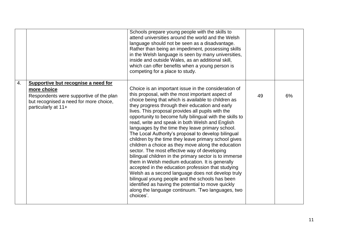|    |                                                                                                                                                                | Schools prepare young people with the skills to<br>attend universities around the world and the Welsh<br>language should not be seen as a disadvantage.<br>Rather than being an impediment, possessing skills<br>in the Welsh language is seen by many universities,<br>inside and outside Wales, as an additional skill,<br>which can offer benefits when a young person is<br>competing for a place to study.                                                                                                                                                                                                                                                                                                                                                                                                                                                                                                                                                                                                                                                    |    |    |
|----|----------------------------------------------------------------------------------------------------------------------------------------------------------------|--------------------------------------------------------------------------------------------------------------------------------------------------------------------------------------------------------------------------------------------------------------------------------------------------------------------------------------------------------------------------------------------------------------------------------------------------------------------------------------------------------------------------------------------------------------------------------------------------------------------------------------------------------------------------------------------------------------------------------------------------------------------------------------------------------------------------------------------------------------------------------------------------------------------------------------------------------------------------------------------------------------------------------------------------------------------|----|----|
| 4. | Supportive but recognise a need for<br>more choice<br>Respondents were supportive of the plan<br>but recognised a need for more choice,<br>particularly at 11+ | Choice is an important issue in the consideration of<br>this proposal, with the most important aspect of<br>choice being that which is available to children as<br>they progress through their education and early<br>lives. This proposal provides all pupils with the<br>opportunity to become fully bilingual with the skills to<br>read, write and speak in both Welsh and English<br>languages by the time they leave primary school.<br>The Local Authority's proposal to develop bilingual<br>children by the time they leave primary school gives<br>children a choice as they move along the education<br>sector. The most effective way of developing<br>bilingual children in the primary sector is to immerse<br>them in Welsh medium education. It is generally<br>accepted in the education profession that studying<br>Welsh as a second language does not develop truly<br>bilingual young people and the schools has been<br>identified as having the potential to move quickly<br>along the language continuum. 'Two languages, two<br>choices'. | 49 | 6% |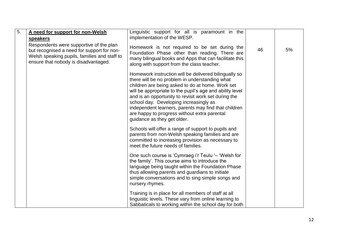| $\overline{5}$ . | A need for support for non-Welsh<br><b>speakers</b>                                                                                                                           | Linguistic support for all is paramount in the<br>implementation of the WESP.                                                                                                                                                                                                                                                                                                                                                                                    |    |    |
|------------------|-------------------------------------------------------------------------------------------------------------------------------------------------------------------------------|------------------------------------------------------------------------------------------------------------------------------------------------------------------------------------------------------------------------------------------------------------------------------------------------------------------------------------------------------------------------------------------------------------------------------------------------------------------|----|----|
|                  | Respondents were supportive of the plan<br>but recognised a need for support for non-<br>Welsh speaking pupils, families and staff to<br>ensure that nobody is disadvantaged. | Homework is not required to be set during the<br>Foundation Phase other than reading. There are<br>many bilingual books and Apps that can facilitate this<br>along with support from the class teacher.                                                                                                                                                                                                                                                          | 46 | 5% |
|                  |                                                                                                                                                                               | Homework instruction will be delivered bilingually so<br>there will be no problem in understanding what<br>children are being asked to do at home. Work set<br>will be appropriate to the pupil's age and ability level<br>and is an opportunity to revisit work set during the<br>school day. Developing increasingly as<br>independent learners, parents may find that children<br>are happy to progress without extra parental<br>guidance as they get older. |    |    |
|                  |                                                                                                                                                                               | Schools will offer a range of support to pupils and<br>parents from non-Welsh speaking families and are<br>committed to increasing provision as necessary to<br>meet the future needs of families.                                                                                                                                                                                                                                                               |    |    |
|                  |                                                                                                                                                                               | One such course is 'Cymraeg i'r Teulu '- 'Welsh for<br>the family'. This course aims to introduce the<br>language being taught within the Foundation Phase<br>thus allowing parents and guardians to initiate<br>simple conversations and to sing simple songs and<br>nursery rhymes.                                                                                                                                                                            |    |    |
|                  |                                                                                                                                                                               | Training is in place for all members of staff at all<br>linguistic levels. These vary from online learning to<br>Sabbaticals to working within the school day for both                                                                                                                                                                                                                                                                                           |    |    |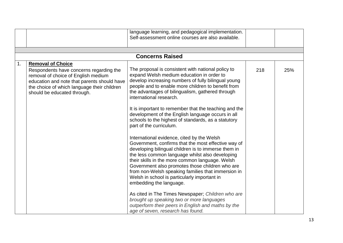|    |                                                                                                                                                                                                                                         | language learning, and pedagogical implementation.<br>Self-assessment online courses are also available.                                                                                                                                                                                                                                                                                                                                                                                                                                                                                                                                                                                                                                                                                                                                                                                                                                                                                                                                                                                                                                       |     |     |
|----|-----------------------------------------------------------------------------------------------------------------------------------------------------------------------------------------------------------------------------------------|------------------------------------------------------------------------------------------------------------------------------------------------------------------------------------------------------------------------------------------------------------------------------------------------------------------------------------------------------------------------------------------------------------------------------------------------------------------------------------------------------------------------------------------------------------------------------------------------------------------------------------------------------------------------------------------------------------------------------------------------------------------------------------------------------------------------------------------------------------------------------------------------------------------------------------------------------------------------------------------------------------------------------------------------------------------------------------------------------------------------------------------------|-----|-----|
|    |                                                                                                                                                                                                                                         |                                                                                                                                                                                                                                                                                                                                                                                                                                                                                                                                                                                                                                                                                                                                                                                                                                                                                                                                                                                                                                                                                                                                                |     |     |
|    |                                                                                                                                                                                                                                         | <b>Concerns Raised</b>                                                                                                                                                                                                                                                                                                                                                                                                                                                                                                                                                                                                                                                                                                                                                                                                                                                                                                                                                                                                                                                                                                                         |     |     |
| 1. | <b>Removal of Choice</b><br>Respondents have concerns regarding the<br>removal of choice of English medium<br>education and note that parents should have<br>the choice of which language their children<br>should be educated through. | The proposal is consistent with national policy to<br>expand Welsh medium education in order to<br>develop increasing numbers of fully bilingual young<br>people and to enable more children to benefit from<br>the advantages of bilingualism, gathered through<br>international research.<br>It is important to remember that the teaching and the<br>development of the English language occurs in all<br>schools to the highest of standards, as a statutory<br>part of the curriculum.<br>International evidence, cited by the Welsh<br>Government, confirms that the most effective way of<br>developing bilingual children is to immerse them in<br>the less common language whilst also developing<br>their skills in the more common language. Welsh<br>Government also promotes those children who are<br>from non-Welsh speaking families that immersion in<br>Welsh in school is particularly important in<br>embedding the language.<br>As cited in The Times Newspaper; Children who are<br>brought up speaking two or more languages<br>outperform their peers in English and maths by the<br>age of seven, research has found. | 218 | 25% |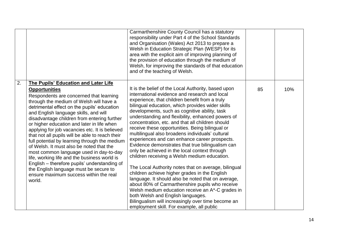|    |                                                                                                                                                                                                                                                                                                                                                                                                                                                                                                                                                                                                                                                                                                                                                                                           | Carmarthenshire County Council has a statutory<br>responsibility under Part 4 of the School Standards<br>and Organisation (Wales) Act 2013 to prepare a<br>Welsh in Education Strategic Plan (WESP) for its<br>area with the explicit aim of improving planning of<br>the provision of education through the medium of<br>Welsh, for improving the standards of that education<br>and of the teaching of Welsh.                                                                                                                                                                                                                                                                                                                                                                                                                                                                                                                                                                                                                                                                                 |    |     |
|----|-------------------------------------------------------------------------------------------------------------------------------------------------------------------------------------------------------------------------------------------------------------------------------------------------------------------------------------------------------------------------------------------------------------------------------------------------------------------------------------------------------------------------------------------------------------------------------------------------------------------------------------------------------------------------------------------------------------------------------------------------------------------------------------------|-------------------------------------------------------------------------------------------------------------------------------------------------------------------------------------------------------------------------------------------------------------------------------------------------------------------------------------------------------------------------------------------------------------------------------------------------------------------------------------------------------------------------------------------------------------------------------------------------------------------------------------------------------------------------------------------------------------------------------------------------------------------------------------------------------------------------------------------------------------------------------------------------------------------------------------------------------------------------------------------------------------------------------------------------------------------------------------------------|----|-----|
| 2. | <b>The Pupils' Education and Later Life</b><br><b>Opportunities</b><br>Respondents are concerned that learning<br>through the medium of Welsh will have a<br>detrimental effect on the pupils' education<br>and English language skills, and will<br>disadvantage children from entering further<br>or higher education and later in life when<br>applying for job vacancies etc. It is believed<br>that not all pupils will be able to reach their<br>full potential by learning through the medium<br>of Welsh. It must also be noted that the<br>most common language used in day-to-day<br>life, working life and the business world is<br>English - therefore pupils' understanding of<br>the English language must be secure to<br>ensure maximum success within the real<br>world. | It is the belief of the Local Authority, based upon<br>international evidence and research and local<br>experience, that children benefit from a truly<br>bilingual education, which provides wider skills<br>developments, such as cognitive ability, task<br>understanding and flexibility, enhanced powers of<br>concentration, etc. and that all children should<br>receive these opportunities. Being bilingual or<br>multilingual also broadens individuals' cultural<br>experiences and can enhance career prospects.<br>Evidence demonstrates that true bilingualism can<br>only be achieved in the local context through<br>children receiving a Welsh medium education.<br>The Local Authority notes that on average, bilingual<br>children achieve higher grades in the English<br>language. It should also be noted that on average,<br>about 80% of Carmarthenshire pupils who receive<br>Welsh medium education receive an A*-C grades in<br>both Welsh and English languages.<br>Bilingualism will increasingly over time become an<br>employment skill. For example, all public | 85 | 10% |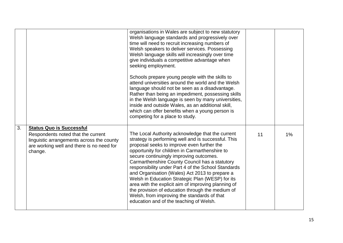|    |                                                                                                                                                                            | organisations in Wales are subject to new statutory<br>Welsh language standards and progressively over<br>time will need to recruit increasing numbers of<br>Welsh speakers to deliver services. Possessing<br>Welsh language skills will increasingly over time<br>give individuals a competitive advantage when<br>seeking employment.<br>Schools prepare young people with the skills to<br>attend universities around the world and the Welsh<br>language should not be seen as a disadvantage.<br>Rather than being an impediment, possessing skills<br>in the Welsh language is seen by many universities,<br>inside and outside Wales, as an additional skill,<br>which can offer benefits when a young person is<br>competing for a place to study. |    |       |
|----|----------------------------------------------------------------------------------------------------------------------------------------------------------------------------|-------------------------------------------------------------------------------------------------------------------------------------------------------------------------------------------------------------------------------------------------------------------------------------------------------------------------------------------------------------------------------------------------------------------------------------------------------------------------------------------------------------------------------------------------------------------------------------------------------------------------------------------------------------------------------------------------------------------------------------------------------------|----|-------|
| 3. | <b>Status Quo is Successful</b><br>Respondents noted that the current<br>linguistic arrangements across the county<br>are working well and there is no need for<br>change. | The Local Authority acknowledge that the current<br>strategy is performing well and is successful. This<br>proposal seeks to improve even further the<br>opportunity for children in Carmarthenshire to<br>secure continuingly improving outcomes.<br>Carmarthenshire County Council has a statutory<br>responsibility under Part 4 of the School Standards<br>and Organisation (Wales) Act 2013 to prepare a<br>Welsh in Education Strategic Plan (WESP) for its                                                                                                                                                                                                                                                                                           | 11 | $1\%$ |
|    |                                                                                                                                                                            | area with the explicit aim of improving planning of<br>the provision of education through the medium of<br>Welsh, from improving the standards of that<br>education and of the teaching of Welsh.                                                                                                                                                                                                                                                                                                                                                                                                                                                                                                                                                           |    |       |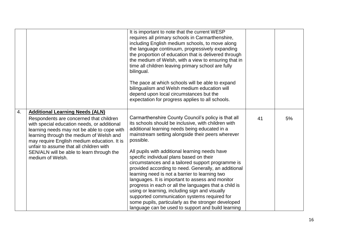|    |                                                                                                                                                                                                                                                                                                                                                                                        | It is important to note that the current WESP<br>requires all primary schools in Carmarthenshire,<br>including English medium schools, to move along<br>the language continuum, progressively expanding<br>the proportion of education that is delivered through<br>the medium of Welsh, with a view to ensuring that in<br>time all children leaving primary school are fully<br>bilingual.<br>The pace at which schools will be able to expand<br>bilingualism and Welsh medium education will<br>depend upon local circumstances but the<br>expectation for progress applies to all schools.                                                                                                                                                                                                                        |    |    |
|----|----------------------------------------------------------------------------------------------------------------------------------------------------------------------------------------------------------------------------------------------------------------------------------------------------------------------------------------------------------------------------------------|------------------------------------------------------------------------------------------------------------------------------------------------------------------------------------------------------------------------------------------------------------------------------------------------------------------------------------------------------------------------------------------------------------------------------------------------------------------------------------------------------------------------------------------------------------------------------------------------------------------------------------------------------------------------------------------------------------------------------------------------------------------------------------------------------------------------|----|----|
| 4. | <b>Additional Learning Needs (ALN)</b><br>Respondents are concerned that children<br>with special education needs, or additional<br>learning needs may not be able to cope with<br>learning through the medium of Welsh and<br>may require English medium education. It is<br>unfair to assume that all children with<br>SEN/ALN will be able to learn through the<br>medium of Welsh. | Carmarthenshire County Council's policy is that all<br>its schools should be inclusive, with children with<br>additional learning needs being educated in a<br>mainstream setting alongside their peers wherever<br>possible.<br>All pupils with additional learning needs have<br>specific individual plans based on their<br>circumstances and a tailored support programme is<br>provided according to need. Generally, an additional<br>learning need is not a barrier to learning two<br>languages. It is important to assess and monitor<br>progress in each or all the languages that a child is<br>using or learning, including sign and visually<br>supported communication systems required for<br>some pupils, particularly as the stronger developed<br>language can be used to support and build learning | 41 | 5% |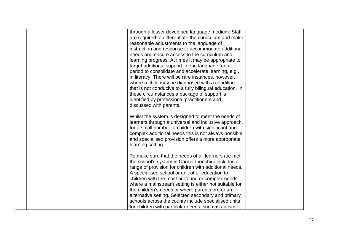| through a lesser developed language medium. Staff<br>are required to differentiate the curriculum and make<br>reasonable adjustments to the language of<br>instruction and response to accommodate additional<br>needs and ensure access to the curriculum and<br>learning progress. At times it may be appropriate to<br>target additional support in one language for a<br>period to consolidate and accelerate learning, e.g.,<br>in literacy. There will be rare instances, however,<br>where a child may be diagnosed with a condition<br>that is not conducive to a fully bilingual education. In<br>these circumstances a package of support is<br>identified by professional practitioners and<br>discussed with parents. |  |
|-----------------------------------------------------------------------------------------------------------------------------------------------------------------------------------------------------------------------------------------------------------------------------------------------------------------------------------------------------------------------------------------------------------------------------------------------------------------------------------------------------------------------------------------------------------------------------------------------------------------------------------------------------------------------------------------------------------------------------------|--|
| Whilst the system is designed to meet the needs of<br>learners through a universal and inclusive approach,<br>for a small number of children with significant and<br>complex additional needs this is not always possible<br>and specialised provision offers a more appropriate<br>learning setting.                                                                                                                                                                                                                                                                                                                                                                                                                             |  |
| To make sure that the needs of all learners are met<br>the school's system in Carmarthenshire includes a<br>range of provision for children with additional needs.<br>A specialised school or unit offer education to<br>children with the most profound or complex needs<br>where a mainstream setting is either not suitable for<br>the children's needs or where parents prefer an<br>alternative setting. Selected secondary and primary<br>schools across the county include specialised units<br>for children with particular needs, such as autism,                                                                                                                                                                        |  |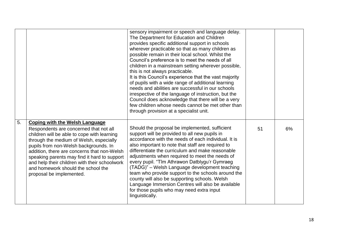|    |                                                                                                                                                                                                                                                                                                                                                                                                                                      | sensory impairment or speech and language delay.<br>The Department for Education and Children<br>provides specific additional support in schools<br>wherever practicable so that as many children as<br>possible remain in their local school. Whilst the<br>Council's preference is to meet the needs of all<br>children in a mainstream setting wherever possible,<br>this is not always practicable.<br>It is this Council's experience that the vast majority<br>of pupils with a wide range of additional learning<br>needs and abilities are successful in our schools<br>irrespective of the language of instruction, but the<br>Council does acknowledge that there will be a very<br>few children whose needs cannot be met other than<br>through provision at a specialist unit. |    |    |
|----|--------------------------------------------------------------------------------------------------------------------------------------------------------------------------------------------------------------------------------------------------------------------------------------------------------------------------------------------------------------------------------------------------------------------------------------|--------------------------------------------------------------------------------------------------------------------------------------------------------------------------------------------------------------------------------------------------------------------------------------------------------------------------------------------------------------------------------------------------------------------------------------------------------------------------------------------------------------------------------------------------------------------------------------------------------------------------------------------------------------------------------------------------------------------------------------------------------------------------------------------|----|----|
| 5. | <b>Coping with the Welsh Language</b><br>Respondents are concerned that not all<br>children will be able to cope with learning<br>through the medium of Welsh, especially<br>pupils from non-Welsh backgrounds. In<br>addition, there are concerns that non-Welsh<br>speaking parents may find it hard to support<br>and help their children with their schoolwork<br>and homework should the school the<br>proposal be implemented. | Should the proposal be implemented, sufficient<br>support will be provided to all new pupils in<br>accordance with the needs of each individual. It is<br>also important to note that staff are required to<br>differentiate the curriculum and make reasonable<br>adjustments when required to meet the needs of<br>every pupil. "Tîm Athrawon Datblygu'r Gymraeg<br>(TADG)" - Welsh Language development teaching<br>team who provide support to the schools around the<br>county will also be supporting schools. Welsh<br>Language Immersion Centres will also be available<br>for those pupils who may need extra input<br>linguistically.                                                                                                                                            | 51 | 6% |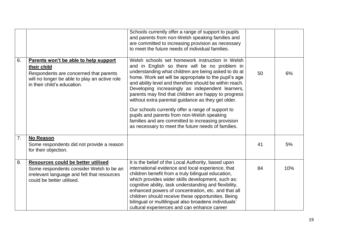|    |                                                                                                                                                                                | Schools currently offer a range of support to pupils<br>and parents from non-Welsh speaking families and<br>are committed to increasing provision as necessary<br>to meet the future needs of individual families.                                                                                                                                                                                                                                                                                                                                                                                                                                            |    |     |
|----|--------------------------------------------------------------------------------------------------------------------------------------------------------------------------------|---------------------------------------------------------------------------------------------------------------------------------------------------------------------------------------------------------------------------------------------------------------------------------------------------------------------------------------------------------------------------------------------------------------------------------------------------------------------------------------------------------------------------------------------------------------------------------------------------------------------------------------------------------------|----|-----|
| 6. | Parents won't be able to help support<br>their child<br>Respondents are concerned that parents<br>will no longer be able to play an active role<br>in their child's education. | Welsh schools set homework instruction in Welsh<br>and in English so there will be no problem in<br>understanding what children are being asked to do at<br>home. Work set will be appropriate to the pupil's age<br>and ability level and therefore should be within reach.<br>Developing increasingly as independent learners,<br>parents may find that children are happy to progress<br>without extra parental guidance as they get older.<br>Our schools currently offer a range of support to<br>pupils and parents from non-Welsh speaking<br>families and are committed to increasing provision<br>as necessary to meet the future needs of families. | 50 | 6%  |
| 7. | <b>No Reason</b><br>Some respondents did not provide a reason<br>for their objection.                                                                                          |                                                                                                                                                                                                                                                                                                                                                                                                                                                                                                                                                                                                                                                               | 41 | 5%  |
| 8. | <b>Resources could be better utilised</b><br>Some respondents consider Welsh to be an<br>irrelevant language and felt that resources<br>could be better utilised.              | It is the belief of the Local Authority, based upon<br>international evidence and local experience, that<br>children benefit from a truly bilingual education,<br>which provides wider skills development, such as:<br>cognitive ability, task understanding and flexibility,<br>enhanced powers of concentration, etc. and that all<br>children should receive these opportunities. Being<br>bilingual or multilingual also broadens individuals'<br>cultural experiences and can enhance career                                                                                                                                                             | 84 | 10% |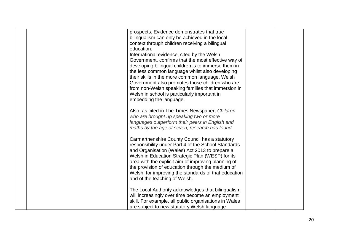| prospects. Evidence demonstrates that true            |  |
|-------------------------------------------------------|--|
| bilingualism can only be achieved in the local        |  |
|                                                       |  |
| context through children receiving a bilingual        |  |
| education.                                            |  |
| International evidence, cited by the Welsh            |  |
| Government, confirms that the most effective way of   |  |
| developing bilingual children is to immerse them in   |  |
| the less common language whilst also developing       |  |
| their skills in the more common language. Welsh       |  |
| Government also promotes those children who are       |  |
| from non-Welsh speaking families that immersion in    |  |
| Welsh in school is particularly important in          |  |
| embedding the language.                               |  |
|                                                       |  |
|                                                       |  |
| Also, as cited in The Times Newspaper; Children       |  |
| who are brought up speaking two or more               |  |
| languages outperform their peers in English and       |  |
| maths by the age of seven, research has found.        |  |
|                                                       |  |
| Carmarthenshire County Council has a statutory        |  |
| responsibility under Part 4 of the School Standards   |  |
| and Organisation (Wales) Act 2013 to prepare a        |  |
| Welsh in Education Strategic Plan (WESP) for its      |  |
| area with the explicit aim of improving planning of   |  |
| the provision of education through the medium of      |  |
| Welsh, for improving the standards of that education  |  |
| and of the teaching of Welsh.                         |  |
|                                                       |  |
|                                                       |  |
| The Local Authority acknowledges that bilingualism    |  |
| will increasingly over time become an employment      |  |
| skill. For example, all public organisations in Wales |  |
| are subject to new statutory Welsh language           |  |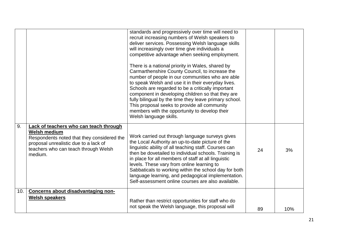|     |                                                                                                                                                                                                         | standards and progressively over time will need to<br>recruit increasing numbers of Welsh speakers to<br>deliver services. Possessing Welsh language skills<br>will increasingly over time give individuals a<br>competitive advantage when seeking employment.<br>There is a national priority in Wales, shared by<br>Carmarthenshire County Council, to increase the<br>number of people in our communities who are able<br>to speak Welsh and use it in their everyday lives.<br>Schools are regarded to be a critically important<br>component in developing children so that they are<br>fully bilingual by the time they leave primary school.<br>This proposal seeks to provide all community<br>members with the opportunity to develop their<br>Welsh language skills. |    |     |
|-----|---------------------------------------------------------------------------------------------------------------------------------------------------------------------------------------------------------|---------------------------------------------------------------------------------------------------------------------------------------------------------------------------------------------------------------------------------------------------------------------------------------------------------------------------------------------------------------------------------------------------------------------------------------------------------------------------------------------------------------------------------------------------------------------------------------------------------------------------------------------------------------------------------------------------------------------------------------------------------------------------------|----|-----|
| 9.  | Lack of teachers who can teach through<br><b>Welsh medium</b><br>Respondents noted that they considered the<br>proposal unrealistic due to a lack of<br>teachers who can teach through Welsh<br>medium. | Work carried out through language surveys gives<br>the Local Authority an up-to-date picture of the<br>linguistic ability of all teaching staff. Courses can<br>then be dovetailed to individual schools. Training is<br>in place for all members of staff at all linguistic<br>levels. These vary from online learning to<br>Sabbaticals to working within the school day for both<br>language learning, and pedagogical implementation.<br>Self-assessment online courses are also available.                                                                                                                                                                                                                                                                                 | 24 | 3%  |
| 10. | Concerns about disadvantaging non-                                                                                                                                                                      |                                                                                                                                                                                                                                                                                                                                                                                                                                                                                                                                                                                                                                                                                                                                                                                 |    |     |
|     | <b>Welsh speakers</b>                                                                                                                                                                                   | Rather than restrict opportunities for staff who do<br>not speak the Welsh language, this proposal will                                                                                                                                                                                                                                                                                                                                                                                                                                                                                                                                                                                                                                                                         |    |     |
|     |                                                                                                                                                                                                         |                                                                                                                                                                                                                                                                                                                                                                                                                                                                                                                                                                                                                                                                                                                                                                                 | 89 | 10% |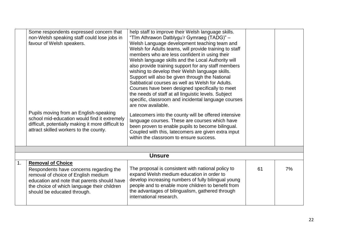|                | Some respondents expressed concern that<br>non-Welsh speaking staff could lose jobs in<br>favour of Welsh speakers.<br>Pupils moving from an English-speaking<br>school mid-education would find it extremely<br>difficult, potentially making it more difficult to<br>attract skilled workers to the county. | help staff to improve their Welsh language skills.<br>"Tîm Athrawon Datblygu'r Gymraeg (TADG)" -<br>Welsh Language development teaching team and<br>Welsh for Adults teams, will provide training to staff<br>members who are less confident in using their<br>Welsh language skills and the Local Authority will<br>also provide training support for any staff members<br>wishing to develop their Welsh language skills.<br>Support will also be given through the National<br>Sabbatical courses as well as Welsh for Adults.<br>Courses have been designed specifically to meet<br>the needs of staff at all linguistic levels. Subject<br>specific, classroom and incidental language courses<br>are now available.<br>Latecomers into the county will be offered intensive<br>language courses. These are courses which have<br>been proven to enable pupils to become bilingual.<br>Coupled with this, latecomers are given extra input<br>within the classroom to ensure success. |    |    |
|----------------|---------------------------------------------------------------------------------------------------------------------------------------------------------------------------------------------------------------------------------------------------------------------------------------------------------------|--------------------------------------------------------------------------------------------------------------------------------------------------------------------------------------------------------------------------------------------------------------------------------------------------------------------------------------------------------------------------------------------------------------------------------------------------------------------------------------------------------------------------------------------------------------------------------------------------------------------------------------------------------------------------------------------------------------------------------------------------------------------------------------------------------------------------------------------------------------------------------------------------------------------------------------------------------------------------------------------|----|----|
|                |                                                                                                                                                                                                                                                                                                               |                                                                                                                                                                                                                                                                                                                                                                                                                                                                                                                                                                                                                                                                                                                                                                                                                                                                                                                                                                                            |    |    |
|                |                                                                                                                                                                                                                                                                                                               | <b>Unsure</b>                                                                                                                                                                                                                                                                                                                                                                                                                                                                                                                                                                                                                                                                                                                                                                                                                                                                                                                                                                              |    |    |
| $\mathbf{1}$ . | <b>Removal of Choice</b><br>Respondents have concerns regarding the<br>removal of choice of English medium<br>education and note that parents should have<br>the choice of which language their children<br>should be educated through.                                                                       | The proposal is consistent with national policy to<br>expand Welsh medium education in order to<br>develop increasing numbers of fully bilingual young<br>people and to enable more children to benefit from<br>the advantages of bilingualism, gathered through<br>international research.                                                                                                                                                                                                                                                                                                                                                                                                                                                                                                                                                                                                                                                                                                | 61 | 7% |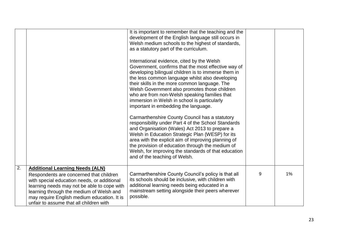|    |                                                                                                                                                                                                                                                                                                                       | It is important to remember that the teaching and the<br>development of the English language still occurs in<br>Welsh medium schools to the highest of standards,<br>as a statutory part of the curriculum.<br>International evidence, cited by the Welsh<br>Government, confirms that the most effective way of<br>developing bilingual children is to immerse them in<br>the less common language whilst also developing<br>their skills in the more common language. The<br>Welsh Government also promotes those children<br>who are from non-Welsh speaking families that<br>immersion in Welsh in school is particularly<br>important in embedding the language.<br>Carmarthenshire County Council has a statutory<br>responsibility under Part 4 of the School Standards<br>and Organisation (Wales) Act 2013 to prepare a<br>Welsh in Education Strategic Plan (WESP) for its<br>area with the explicit aim of improving planning of<br>the provision of education through the medium of<br>Welsh, for improving the standards of that education<br>and of the teaching of Welsh. |   |    |
|----|-----------------------------------------------------------------------------------------------------------------------------------------------------------------------------------------------------------------------------------------------------------------------------------------------------------------------|------------------------------------------------------------------------------------------------------------------------------------------------------------------------------------------------------------------------------------------------------------------------------------------------------------------------------------------------------------------------------------------------------------------------------------------------------------------------------------------------------------------------------------------------------------------------------------------------------------------------------------------------------------------------------------------------------------------------------------------------------------------------------------------------------------------------------------------------------------------------------------------------------------------------------------------------------------------------------------------------------------------------------------------------------------------------------------------|---|----|
| 2. | <b>Additional Learning Needs (ALN)</b><br>Respondents are concerned that children<br>with special education needs, or additional<br>learning needs may not be able to cope with<br>learning through the medium of Welsh and<br>may require English medium education. It is<br>unfair to assume that all children with | Carmarthenshire County Council's policy is that all<br>its schools should be inclusive, with children with<br>additional learning needs being educated in a<br>mainstream setting alongside their peers wherever<br>possible.                                                                                                                                                                                                                                                                                                                                                                                                                                                                                                                                                                                                                                                                                                                                                                                                                                                            | 9 | 1% |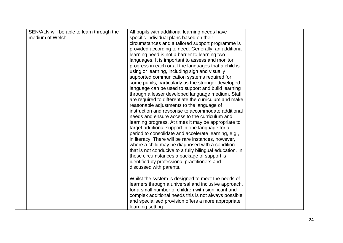| SEN/ALN will be able to learn through the | All pupils with additional learning needs have           |  |
|-------------------------------------------|----------------------------------------------------------|--|
| medium of Welsh.                          | specific individual plans based on their                 |  |
|                                           | circumstances and a tailored support programme is        |  |
|                                           | provided according to need. Generally, an additional     |  |
|                                           | learning need is not a barrier to learning two           |  |
|                                           | languages. It is important to assess and monitor         |  |
|                                           | progress in each or all the languages that a child is    |  |
|                                           | using or learning, including sign and visually           |  |
|                                           | supported communication systems required for             |  |
|                                           | some pupils, particularly as the stronger developed      |  |
|                                           | language can be used to support and build learning       |  |
|                                           | through a lesser developed language medium. Staff        |  |
|                                           | are required to differentiate the curriculum and make    |  |
|                                           | reasonable adjustments to the language of                |  |
|                                           | instruction and response to accommodate additional       |  |
|                                           | needs and ensure access to the curriculum and            |  |
|                                           | learning progress. At times it may be appropriate to     |  |
|                                           | target additional support in one language for a          |  |
|                                           | period to consolidate and accelerate learning, e.g.,     |  |
|                                           | in literacy. There will be rare instances, however,      |  |
|                                           | where a child may be diagnosed with a condition          |  |
|                                           | that is not conducive to a fully bilingual education. In |  |
|                                           | these circumstances a package of support is              |  |
|                                           | identified by professional practitioners and             |  |
|                                           | discussed with parents.                                  |  |
|                                           |                                                          |  |
|                                           | Whilst the system is designed to meet the needs of       |  |
|                                           | learners through a universal and inclusive approach,     |  |
|                                           | for a small number of children with significant and      |  |
|                                           | complex additional needs this is not always possible     |  |
|                                           | and specialised provision offers a more appropriate      |  |
|                                           | learning setting.                                        |  |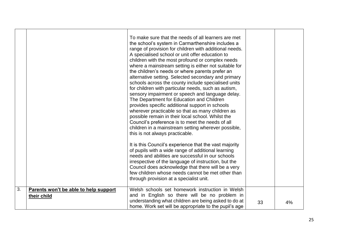|    |                                                      | To make sure that the needs of all learners are met<br>the school's system in Carmarthenshire includes a<br>range of provision for children with additional needs.<br>A specialised school or unit offer education to<br>children with the most profound or complex needs<br>where a mainstream setting is either not suitable for<br>the children's needs or where parents prefer an<br>alternative setting. Selected secondary and primary<br>schools across the county include specialised units<br>for children with particular needs, such as autism,<br>sensory impairment or speech and language delay.<br>The Department for Education and Children<br>provides specific additional support in schools<br>wherever practicable so that as many children as<br>possible remain in their local school. Whilst the<br>Council's preference is to meet the needs of all<br>children in a mainstream setting wherever possible,<br>this is not always practicable.<br>It is this Council's experience that the vast majority<br>of pupils with a wide range of additional learning<br>needs and abilities are successful in our schools<br>irrespective of the language of instruction, but the<br>Council does acknowledge that there will be a very<br>few children whose needs cannot be met other than<br>through provision at a specialist unit. |    |    |
|----|------------------------------------------------------|----------------------------------------------------------------------------------------------------------------------------------------------------------------------------------------------------------------------------------------------------------------------------------------------------------------------------------------------------------------------------------------------------------------------------------------------------------------------------------------------------------------------------------------------------------------------------------------------------------------------------------------------------------------------------------------------------------------------------------------------------------------------------------------------------------------------------------------------------------------------------------------------------------------------------------------------------------------------------------------------------------------------------------------------------------------------------------------------------------------------------------------------------------------------------------------------------------------------------------------------------------------------------------------------------------------------------------------------------------|----|----|
| 3. | Parents won't be able to help support<br>their child | Welsh schools set homework instruction in Welsh<br>and in English so there will be no problem in<br>understanding what children are being asked to do at<br>home. Work set will be appropriate to the pupil's age                                                                                                                                                                                                                                                                                                                                                                                                                                                                                                                                                                                                                                                                                                                                                                                                                                                                                                                                                                                                                                                                                                                                        | 33 | 4% |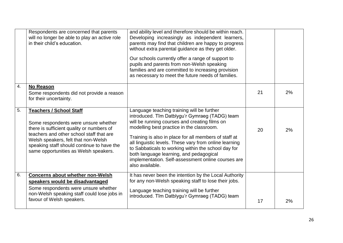|    | Respondents are concerned that parents<br>will no longer be able to play an active role<br>in their child's education.                                                                                                                                                                        | and ability level and therefore should be within reach.<br>Developing increasingly as independent learners,<br>parents may find that children are happy to progress<br>without extra parental guidance as they get older.<br>Our schools currently offer a range of support to<br>pupils and parents from non-Welsh speaking<br>families and are committed to increasing provision<br>as necessary to meet the future needs of families.                                                 |    |    |
|----|-----------------------------------------------------------------------------------------------------------------------------------------------------------------------------------------------------------------------------------------------------------------------------------------------|------------------------------------------------------------------------------------------------------------------------------------------------------------------------------------------------------------------------------------------------------------------------------------------------------------------------------------------------------------------------------------------------------------------------------------------------------------------------------------------|----|----|
| 4. | No Reason<br>Some respondents did not provide a reason<br>for their uncertainty.                                                                                                                                                                                                              |                                                                                                                                                                                                                                                                                                                                                                                                                                                                                          | 21 | 2% |
| 5. | <b>Teachers / School Staff</b><br>Some respondents were unsure whether<br>there is sufficient quality or numbers of<br>teachers and other school staff that are<br>Welsh speakers, felt that non-Welsh<br>speaking staff should continue to have the<br>same opportunities as Welsh speakers. | Language teaching training will be further<br>introduced. Tîm Datblygu'r Gymraeg (TADG) team<br>will be running courses and creating films on<br>modelling best practice in the classroom.<br>Training is also in place for all members of staff at<br>all linguistic levels. These vary from online learning<br>to Sabbaticals to working within the school day for<br>both language learning, and pedagogical<br>implementation. Self-assessment online courses are<br>also available. | 20 | 2% |
| 6. | <b>Concerns about whether non-Welsh</b><br>speakers would be disadvantaged<br>Some respondents were unsure whether<br>non-Welsh speaking staff could lose jobs in<br>favour of Welsh speakers.                                                                                                | It has never been the intention by the Local Authority<br>for any non-Welsh speaking staff to lose their jobs.<br>Language teaching training will be further<br>introduced. Tîm Datblygu'r Gymraeg (TADG) team                                                                                                                                                                                                                                                                           | 17 | 2% |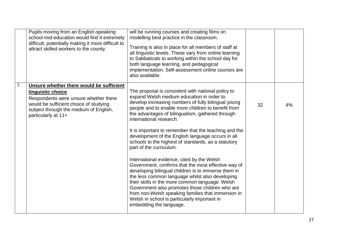|    | Pupils moving from an English-speaking<br>school mid-education would find it extremely<br>difficult, potentially making it more difficult to<br>attract skilled workers to the county.                            | will be running courses and creating films on<br>modelling best practice in the classroom.<br>Training is also in place for all members of staff at<br>all linguistic levels. These vary from online learning<br>to Sabbaticals to working within the school day for<br>both language learning, and pedagogical<br>implementation. Self-assessment online courses are<br>also available.                                                                                                                                                                                                                                                                                                                                                                                                                                                                                                                                                          |    |    |
|----|-------------------------------------------------------------------------------------------------------------------------------------------------------------------------------------------------------------------|---------------------------------------------------------------------------------------------------------------------------------------------------------------------------------------------------------------------------------------------------------------------------------------------------------------------------------------------------------------------------------------------------------------------------------------------------------------------------------------------------------------------------------------------------------------------------------------------------------------------------------------------------------------------------------------------------------------------------------------------------------------------------------------------------------------------------------------------------------------------------------------------------------------------------------------------------|----|----|
| 7. | Unsure whether there would be sufficient<br>linguistic choice<br>Respondents were unsure whether there<br>would be sufficient choice of studying<br>subject through the medium of English,<br>particularly at 11+ | The proposal is consistent with national policy to<br>expand Welsh medium education in order to<br>develop increasing numbers of fully bilingual young<br>people and to enable more children to benefit from<br>the advantages of bilingualism, gathered through<br>international research.<br>It is important to remember that the teaching and the<br>development of the English language occurs in all<br>schools to the highest of standards, as a statutory<br>part of the curriculum.<br>International evidence, cited by the Welsh<br>Government, confirms that the most effective way of<br>developing bilingual children is to immerse them in<br>the less common language whilst also developing<br>their skills in the more common language. Welsh<br>Government also promotes those children who are<br>from non-Welsh speaking families that immersion in<br>Welsh in school is particularly important in<br>embedding the language. | 32 | 4% |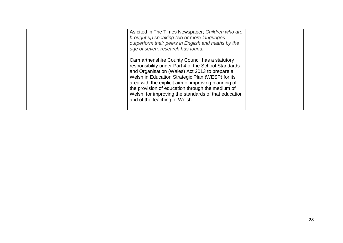| As cited in The Times Newspaper; Children who are<br>brought up speaking two or more languages<br>outperform their peers in English and maths by the<br>age of seven, research has found.                                                                                                                                                                                                                       |  |
|-----------------------------------------------------------------------------------------------------------------------------------------------------------------------------------------------------------------------------------------------------------------------------------------------------------------------------------------------------------------------------------------------------------------|--|
| Carmarthenshire County Council has a statutory<br>responsibility under Part 4 of the School Standards<br>and Organisation (Wales) Act 2013 to prepare a<br>Welsh in Education Strategic Plan (WESP) for its<br>area with the explicit aim of improving planning of<br>the provision of education through the medium of<br>Welsh, for improving the standards of that education<br>and of the teaching of Welsh. |  |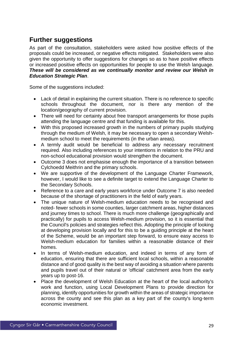## <span id="page-31-0"></span>**Further suggestions**

As part of the consultation, stakeholders were asked how positive effects of the proposals could be increased, or negative effects mitigated. Stakeholders were also given the opportunity to offer suggestions for changes so as to have positive effects or increased positive effects on opportunities for people to use the Welsh language. *These will be considered as we continually monitor and review our Welsh in Education Strategic Plan*.

Some of the suggestions included:

- Lack of detail in explaining the current situation. There is no reference to specific schools throughout the document, nor is there any mention of the location/geography of current provision.
- There will need for certainty about free transport arrangements for those pupils attending the language centre and that funding is available for this.
- With this proposed increased growth in the numbers of primary pupils studying through the medium of Welsh, it may be necessary to open a secondary Welshmedium school to meet the requirements (in the urban areas).
- A termly audit would be beneficial to address any necessary recruitment required. Also including references to your intentions in relation to the PRU and non-school educational provision would strengthen the document.
- Outcome 3 does not emphasise enough the importance of a transition between Cylchoedd Meithrin and the primary schools.
- We are supportive of the development of the Language Charter Framework, however, I would like to see a definite target to extend the Language Charter to the Secondary Schools.
- Reference to a care and early years workforce under Outcome 7 is also needed because of the shortage of practitioners in the field of early years.
- The unique nature of Welsh-medium education needs to be recognised and noted- fewer schools in some counties, larger catchment areas, higher distances and journey times to school. There is much more challenge (geographically and practically) for pupils to access Welsh-medium provision, so it is essential that the Council's policies and strategies reflect this. Adopting the principle of looking at developing provision locally and for this to be a guiding principle at the heart of the Scheme, would be an important step forward, to ensure easy access to Welsh-medium education for families within a reasonable distance of their homes.
- In terms of Welsh-medium education, and indeed in terms of any form of education, ensuring that there are sufficient local schools, within a reasonable distance and of good quality is the best way of avoiding a situation where parents and pupils travel out of their natural or 'official' catchment area from the early years up to post-16.
- Place the development of Welsh Education at the heart of the local authority's work and function, using Local Development Plans to provide direction for planning, identify opportunities for growth within the areas of strategic importance across the county and see this plan as a key part of the county's long-term economic investment.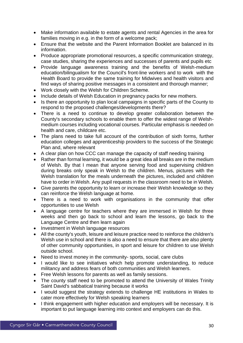- Make information available to estate agents and rental Agencies in the area for families moving in e.g. in the form of a welcome pack;
- Ensure that the website and the Parent Information Booklet are balanced in its information.
- Produce appropriate promotional resources, a specific communication strategy, case studies, sharing the experiences and successes of parents and pupils etc
- Provide language awareness training and the benefits of Welsh-medium education/bilingualism for the Council's front-line workers and to work with the Health Board to provide the same training for Midwives and health visitors and find ways of sharing positive messages in a consistent and thorough manner;
- Work closely with the Welsh for Children Scheme.
- Include details of Welsh Education in pregnancy packs for new mothers.
- Is there an opportunity to plan local campaigns in specific parts of the County to respond to the proposed challenges/developments there?
- There is a need to continue to develop greater collaboration between the County's secondary schools to enable them to offer the widest range of Welshmedium courses including vocational courses. Particular emphasis is needed on health and care, childcare etc.
- The plans need to take full account of the contribution of sixth forms, further education colleges and apprenticeship providers to the success of the Strategic Plan and, where relevant
- A clear plan on how CCC can manage the capacity of staff needing training
- Rather than formal learning, it would be a great idea all breaks are in the medium of Welsh. By that I mean that anyone serving food and supervising children during breaks only speak in Welsh to the children. Menus, pictures with the Welsh translation for the meals underneath the pictures, included and children have to order in Welsh. Any pupil requests in the classroom need to be in Welsh.
- Give parents the opportunity to learn or increase their Welsh knowledge so they can reinforce the Welsh language at home.
- There is a need to work with organisations in the community that offer opportunities to use Welsh
- A language centre for teachers where they are immersed in Welsh for three weeks and then go back to school and learn the lessons, go back to the Language Centre and then learn again
- Investment in Welsh language resources
- All the county's youth, leisure and leisure practice need to reinforce the children's Welsh use in school and there is also a need to ensure that there are also plenty of other community opportunities, in sport and leisure for children to use Welsh outside school.
- Need to invest money in the community- sports, social, care clubs
- I would like to see initiatives which help promote understanding, to reduce militancy and address fears of both communities and Welsh learners.
- Free Welsh lessons for parents as well as family sessions.
- The county staff need to be promoted to attend the University of Wales Trinity Saint David's sabbatical training because it works
- I would suggest the strategy extends to challenge HE institutions in Wales to cater more effectively for Welsh speaking learners
- I think engagement with higher education and employers will be necessary. It is important to put language learning into context and employers can do this.